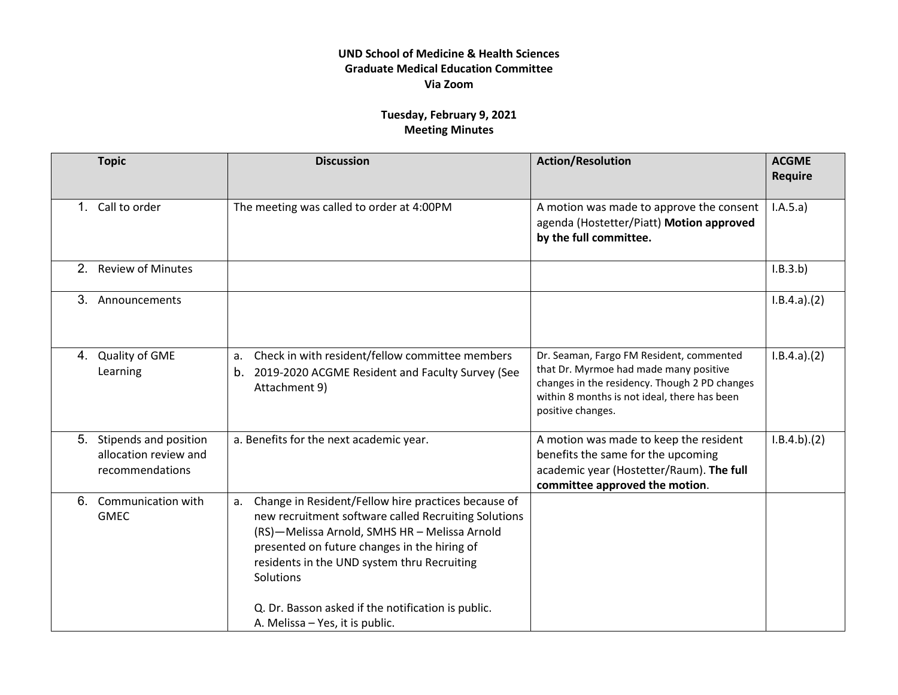## **UND School of Medicine & Health Sciences Graduate Medical Education Committee Via Zoom**

## **Tuesday, February 9, 2021 Meeting Minutes**

|                | <b>Topic</b>                                                      | <b>Discussion</b>                                                                                                                                                                                                                                                                                                                                                       | <b>Action/Resolution</b>                                                                                                                                                                                 | <b>ACGME</b><br><b>Require</b> |
|----------------|-------------------------------------------------------------------|-------------------------------------------------------------------------------------------------------------------------------------------------------------------------------------------------------------------------------------------------------------------------------------------------------------------------------------------------------------------------|----------------------------------------------------------------------------------------------------------------------------------------------------------------------------------------------------------|--------------------------------|
| 1              | Call to order                                                     | The meeting was called to order at 4:00PM                                                                                                                                                                                                                                                                                                                               | A motion was made to approve the consent<br>agenda (Hostetter/Piatt) Motion approved<br>by the full committee.                                                                                           | I.A.5.a)                       |
| 2 <sub>1</sub> | <b>Review of Minutes</b>                                          |                                                                                                                                                                                                                                                                                                                                                                         |                                                                                                                                                                                                          | I.B.3.b)                       |
| 3.             | Announcements                                                     |                                                                                                                                                                                                                                                                                                                                                                         |                                                                                                                                                                                                          | I.B.4.a)(2)                    |
| 4.             | Quality of GME<br>Learning                                        | Check in with resident/fellow committee members<br>a.<br>b. 2019-2020 ACGME Resident and Faculty Survey (See<br>Attachment 9)                                                                                                                                                                                                                                           | Dr. Seaman, Fargo FM Resident, commented<br>that Dr. Myrmoe had made many positive<br>changes in the residency. Though 2 PD changes<br>within 8 months is not ideal, there has been<br>positive changes. | I.B.4.a)(2)                    |
| 5.             | Stipends and position<br>allocation review and<br>recommendations | a. Benefits for the next academic year.                                                                                                                                                                                                                                                                                                                                 | A motion was made to keep the resident<br>benefits the same for the upcoming<br>academic year (Hostetter/Raum). The full<br>committee approved the motion.                                               | I.B.4.b)(2)                    |
|                | 6. Communication with<br><b>GMEC</b>                              | Change in Resident/Fellow hire practices because of<br>a.<br>new recruitment software called Recruiting Solutions<br>(RS)-Melissa Arnold, SMHS HR - Melissa Arnold<br>presented on future changes in the hiring of<br>residents in the UND system thru Recruiting<br>Solutions<br>Q. Dr. Basson asked if the notification is public.<br>A. Melissa - Yes, it is public. |                                                                                                                                                                                                          |                                |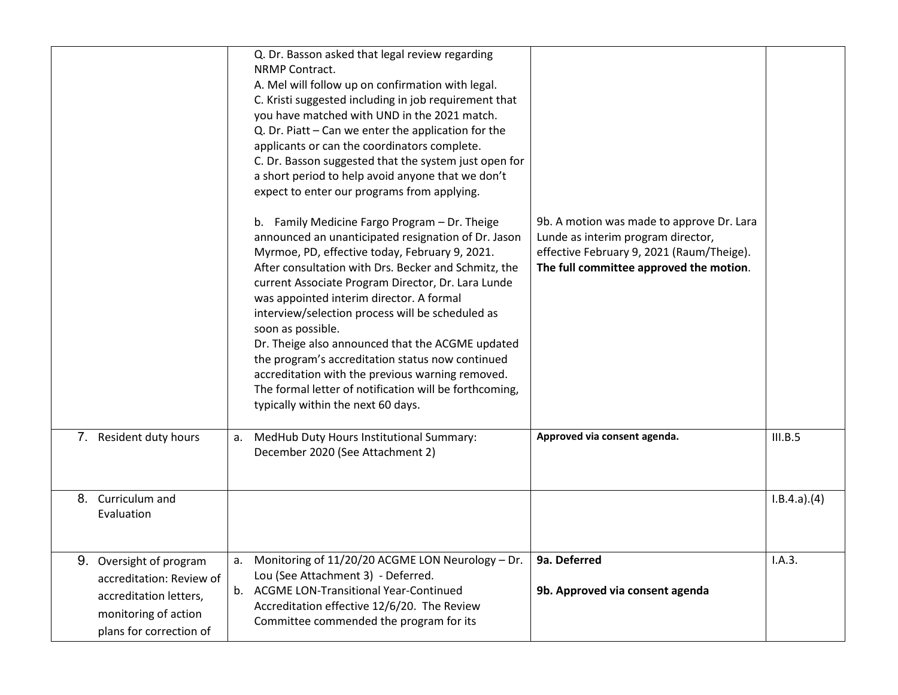|                                                                                                                                     | Q. Dr. Basson asked that legal review regarding<br><b>NRMP Contract.</b><br>A. Mel will follow up on confirmation with legal.<br>C. Kristi suggested including in job requirement that<br>you have matched with UND in the 2021 match.<br>Q. Dr. Piatt - Can we enter the application for the<br>applicants or can the coordinators complete.<br>C. Dr. Basson suggested that the system just open for<br>a short period to help avoid anyone that we don't<br>expect to enter our programs from applying.<br>b. Family Medicine Fargo Program - Dr. Theige<br>announced an unanticipated resignation of Dr. Jason<br>Myrmoe, PD, effective today, February 9, 2021.<br>After consultation with Drs. Becker and Schmitz, the<br>current Associate Program Director, Dr. Lara Lunde<br>was appointed interim director. A formal<br>interview/selection process will be scheduled as<br>soon as possible.<br>Dr. Theige also announced that the ACGME updated<br>the program's accreditation status now continued<br>accreditation with the previous warning removed.<br>The formal letter of notification will be forthcoming,<br>typically within the next 60 days. | 9b. A motion was made to approve Dr. Lara<br>Lunde as interim program director,<br>effective February 9, 2021 (Raum/Theige).<br>The full committee approved the motion. |             |
|-------------------------------------------------------------------------------------------------------------------------------------|---------------------------------------------------------------------------------------------------------------------------------------------------------------------------------------------------------------------------------------------------------------------------------------------------------------------------------------------------------------------------------------------------------------------------------------------------------------------------------------------------------------------------------------------------------------------------------------------------------------------------------------------------------------------------------------------------------------------------------------------------------------------------------------------------------------------------------------------------------------------------------------------------------------------------------------------------------------------------------------------------------------------------------------------------------------------------------------------------------------------------------------------------------------------|-------------------------------------------------------------------------------------------------------------------------------------------------------------------------|-------------|
| 7. Resident duty hours                                                                                                              | a. MedHub Duty Hours Institutional Summary:<br>December 2020 (See Attachment 2)                                                                                                                                                                                                                                                                                                                                                                                                                                                                                                                                                                                                                                                                                                                                                                                                                                                                                                                                                                                                                                                                                     | Approved via consent agenda.                                                                                                                                            | III.B.5     |
| 8. Curriculum and<br>Evaluation                                                                                                     |                                                                                                                                                                                                                                                                                                                                                                                                                                                                                                                                                                                                                                                                                                                                                                                                                                                                                                                                                                                                                                                                                                                                                                     |                                                                                                                                                                         | I.B.4.a)(4) |
| 9.<br>Oversight of program<br>accreditation: Review of<br>accreditation letters,<br>monitoring of action<br>plans for correction of | Monitoring of 11/20/20 ACGME LON Neurology - Dr.<br>a.<br>Lou (See Attachment 3) - Deferred.<br>b. ACGME LON-Transitional Year-Continued<br>Accreditation effective 12/6/20. The Review<br>Committee commended the program for its                                                                                                                                                                                                                                                                                                                                                                                                                                                                                                                                                                                                                                                                                                                                                                                                                                                                                                                                  | 9a. Deferred<br>9b. Approved via consent agenda                                                                                                                         | I.A.3.      |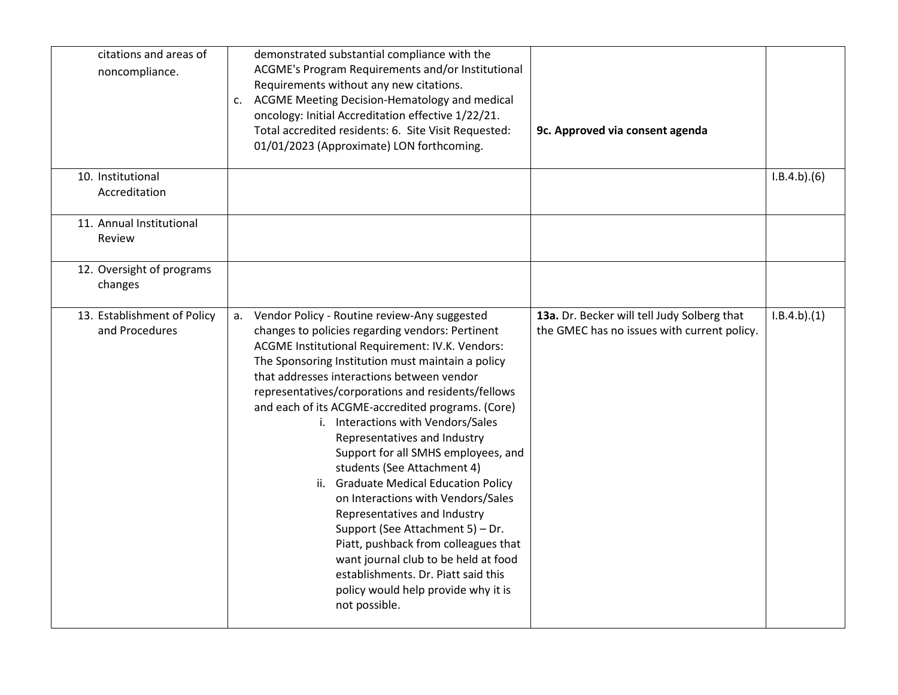| citations and areas of<br>noncompliance.      | demonstrated substantial compliance with the<br>ACGME's Program Requirements and/or Institutional<br>Requirements without any new citations.<br>c. ACGME Meeting Decision-Hematology and medical<br>oncology: Initial Accreditation effective 1/22/21.<br>Total accredited residents: 6. Site Visit Requested:<br>01/01/2023 (Approximate) LON forthcoming.                                                                                                                                                                                                                                                                                                                                                                                                                                                                                        | 9c. Approved via consent agenda                                                            |             |
|-----------------------------------------------|----------------------------------------------------------------------------------------------------------------------------------------------------------------------------------------------------------------------------------------------------------------------------------------------------------------------------------------------------------------------------------------------------------------------------------------------------------------------------------------------------------------------------------------------------------------------------------------------------------------------------------------------------------------------------------------------------------------------------------------------------------------------------------------------------------------------------------------------------|--------------------------------------------------------------------------------------------|-------------|
| 10. Institutional<br>Accreditation            |                                                                                                                                                                                                                                                                                                                                                                                                                                                                                                                                                                                                                                                                                                                                                                                                                                                    |                                                                                            | I.B.4.b)(6) |
| 11. Annual Institutional<br>Review            |                                                                                                                                                                                                                                                                                                                                                                                                                                                                                                                                                                                                                                                                                                                                                                                                                                                    |                                                                                            |             |
| 12. Oversight of programs<br>changes          |                                                                                                                                                                                                                                                                                                                                                                                                                                                                                                                                                                                                                                                                                                                                                                                                                                                    |                                                                                            |             |
| 13. Establishment of Policy<br>and Procedures | a. Vendor Policy - Routine review-Any suggested<br>changes to policies regarding vendors: Pertinent<br>ACGME Institutional Requirement: IV.K. Vendors:<br>The Sponsoring Institution must maintain a policy<br>that addresses interactions between vendor<br>representatives/corporations and residents/fellows<br>and each of its ACGME-accredited programs. (Core)<br>i. Interactions with Vendors/Sales<br>Representatives and Industry<br>Support for all SMHS employees, and<br>students (See Attachment 4)<br>ii. Graduate Medical Education Policy<br>on Interactions with Vendors/Sales<br>Representatives and Industry<br>Support (See Attachment 5) - Dr.<br>Piatt, pushback from colleagues that<br>want journal club to be held at food<br>establishments. Dr. Piatt said this<br>policy would help provide why it is<br>not possible. | 13a. Dr. Becker will tell Judy Solberg that<br>the GMEC has no issues with current policy. | I.B.4.b)(1) |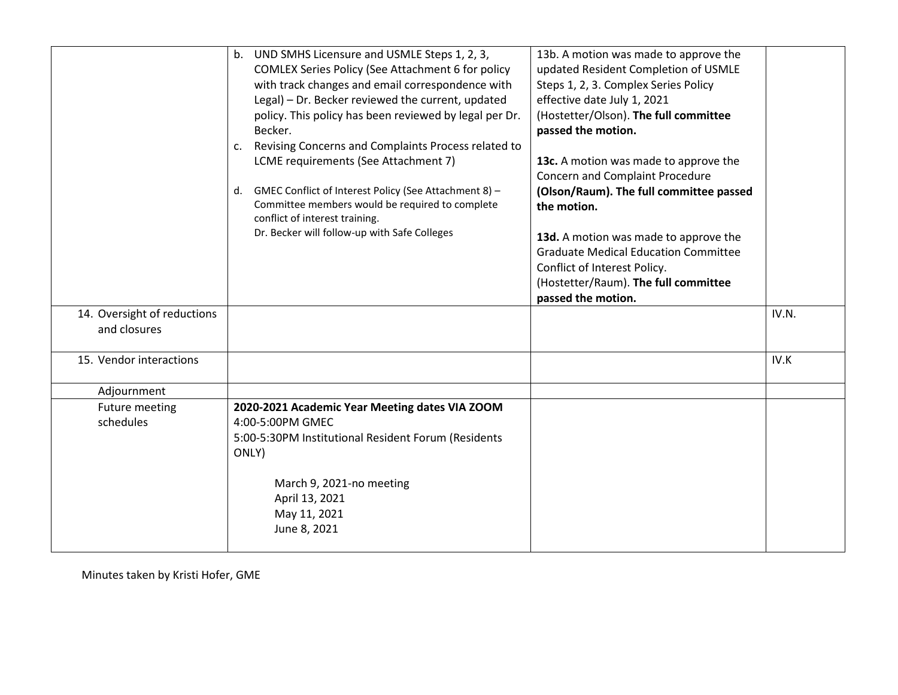|                             | b. UND SMHS Licensure and USMLE Steps 1, 2, 3,            | 13b. A motion was made to approve the       |       |
|-----------------------------|-----------------------------------------------------------|---------------------------------------------|-------|
|                             | COMLEX Series Policy (See Attachment 6 for policy         | updated Resident Completion of USMLE        |       |
|                             | with track changes and email correspondence with          | Steps 1, 2, 3. Complex Series Policy        |       |
|                             | Legal) - Dr. Becker reviewed the current, updated         | effective date July 1, 2021                 |       |
|                             | policy. This policy has been reviewed by legal per Dr.    | (Hostetter/Olson). The full committee       |       |
|                             | Becker.                                                   | passed the motion.                          |       |
|                             | Revising Concerns and Complaints Process related to<br>c. |                                             |       |
|                             | LCME requirements (See Attachment 7)                      | 13c. A motion was made to approve the       |       |
|                             |                                                           | <b>Concern and Complaint Procedure</b>      |       |
|                             | d. GMEC Conflict of Interest Policy (See Attachment 8) -  | (Olson/Raum). The full committee passed     |       |
|                             | Committee members would be required to complete           | the motion.                                 |       |
|                             | conflict of interest training.                            |                                             |       |
|                             | Dr. Becker will follow-up with Safe Colleges              | 13d. A motion was made to approve the       |       |
|                             |                                                           | <b>Graduate Medical Education Committee</b> |       |
|                             |                                                           | Conflict of Interest Policy.                |       |
|                             |                                                           | (Hostetter/Raum). The full committee        |       |
|                             |                                                           | passed the motion.                          |       |
| 14. Oversight of reductions |                                                           |                                             | IV.N. |
| and closures                |                                                           |                                             |       |
|                             |                                                           |                                             |       |
| 15. Vendor interactions     |                                                           |                                             | IV.K  |
|                             |                                                           |                                             |       |
| Adjournment                 |                                                           |                                             |       |
| Future meeting              | 2020-2021 Academic Year Meeting dates VIA ZOOM            |                                             |       |
| schedules                   | 4:00-5:00PM GMEC                                          |                                             |       |
|                             | 5:00-5:30PM Institutional Resident Forum (Residents       |                                             |       |
|                             | ONLY)                                                     |                                             |       |
|                             |                                                           |                                             |       |
|                             | March 9, 2021-no meeting                                  |                                             |       |
|                             | April 13, 2021                                            |                                             |       |
|                             | May 11, 2021                                              |                                             |       |
|                             | June 8, 2021                                              |                                             |       |
|                             |                                                           |                                             |       |

Minutes taken by Kristi Hofer, GME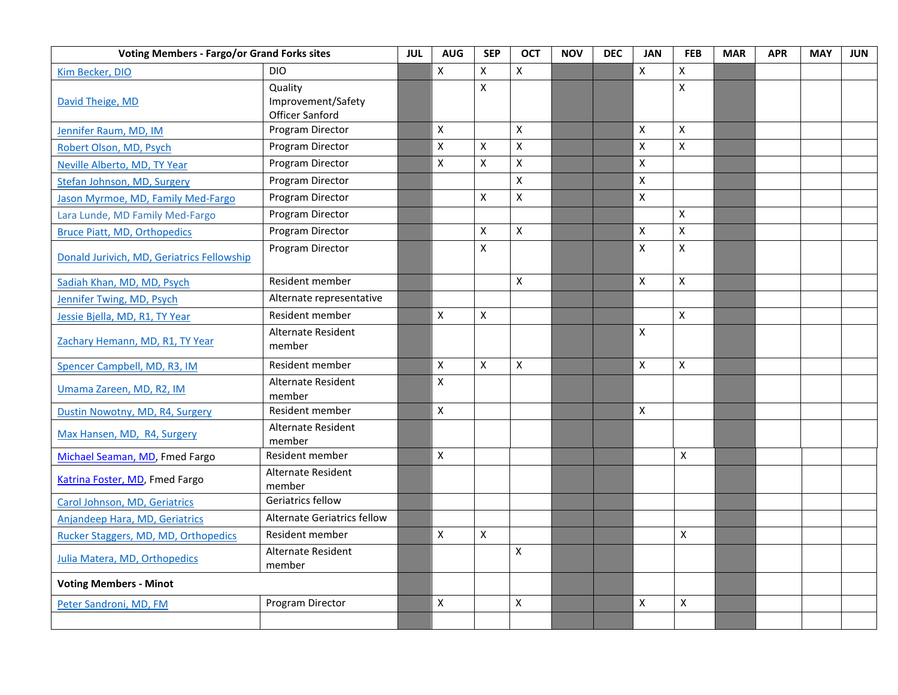| <b>Voting Members - Fargo/or Grand Forks sites</b> |                                                  | <b>JUL</b> | <b>AUG</b>                | <b>SEP</b> | <b>OCT</b>         | <b>NOV</b> | <b>DEC</b> | <b>JAN</b>                | <b>FEB</b>     | <b>MAR</b> | <b>APR</b> | <b>MAY</b> | <b>JUN</b> |
|----------------------------------------------------|--------------------------------------------------|------------|---------------------------|------------|--------------------|------------|------------|---------------------------|----------------|------------|------------|------------|------------|
| Kim Becker, DIO                                    | <b>DIO</b>                                       |            | $\pmb{\times}$            | X          | X                  |            |            | $\mathsf{X}$              | X              |            |            |            |            |
| David Theige, MD                                   | Quality<br>Improvement/Safety<br>Officer Sanford |            |                           | X          |                    |            |            |                           | X              |            |            |            |            |
| Jennifer Raum, MD, IM                              | Program Director                                 |            | $\mathsf{x}$              |            | $\pmb{\mathsf{X}}$ |            |            | $\boldsymbol{\mathsf{X}}$ | X              |            |            |            |            |
| Robert Olson, MD, Psych                            | Program Director                                 |            | X                         | X          | X                  |            |            | $\times$                  | X              |            |            |            |            |
| Neville Alberto, MD, TY Year                       | Program Director                                 |            | $\boldsymbol{\mathsf{X}}$ | X          | X                  |            |            | X                         |                |            |            |            |            |
| Stefan Johnson, MD, Surgery                        | Program Director                                 |            |                           |            | $\pmb{\mathsf{X}}$ |            |            | $\pmb{\times}$            |                |            |            |            |            |
| Jason Myrmoe, MD, Family Med-Fargo                 | Program Director                                 |            |                           | X          | $\pmb{\mathsf{X}}$ |            |            | $\pmb{\chi}$              |                |            |            |            |            |
| Lara Lunde, MD Family Med-Fargo                    | Program Director                                 |            |                           |            |                    |            |            |                           | X              |            |            |            |            |
| <b>Bruce Piatt, MD, Orthopedics</b>                | Program Director                                 |            |                           | Χ          | $\pmb{\mathsf{X}}$ |            |            | $\mathsf{X}$              | Χ              |            |            |            |            |
| Donald Jurivich, MD, Geriatrics Fellowship         | Program Director                                 |            |                           | X          |                    |            |            | $\mathsf{X}$              | X              |            |            |            |            |
| Sadiah Khan, MD, MD, Psych                         | Resident member                                  |            |                           |            | X                  |            |            | X                         | X              |            |            |            |            |
| Jennifer Twing, MD, Psych                          | Alternate representative                         |            |                           |            |                    |            |            |                           |                |            |            |            |            |
| Jessie Bjella, MD, R1, TY Year                     | Resident member                                  |            | $\pmb{\times}$            | Χ          |                    |            |            |                           | X              |            |            |            |            |
| Zachary Hemann, MD, R1, TY Year                    | Alternate Resident<br>member                     |            |                           |            |                    |            |            | $\mathsf{X}$              |                |            |            |            |            |
| Spencer Campbell, MD, R3, IM                       | Resident member                                  |            | $\boldsymbol{\mathsf{X}}$ | X          | $\pmb{\mathsf{X}}$ |            |            | $\mathsf{X}$              | X              |            |            |            |            |
| Umama Zareen, MD, R2, IM                           | Alternate Resident<br>member                     |            | $\mathsf{X}$              |            |                    |            |            |                           |                |            |            |            |            |
| Dustin Nowotny, MD, R4, Surgery                    | Resident member                                  |            | $\mathsf{x}$              |            |                    |            |            | $\pmb{\chi}$              |                |            |            |            |            |
| Max Hansen, MD, R4, Surgery                        | Alternate Resident<br>member                     |            |                           |            |                    |            |            |                           |                |            |            |            |            |
| Michael Seaman, MD, Fmed Fargo                     | Resident member                                  |            | $\mathsf{x}$              |            |                    |            |            |                           | $\mathsf{x}$   |            |            |            |            |
| Katrina Foster, MD, Fmed Fargo                     | Alternate Resident<br>member                     |            |                           |            |                    |            |            |                           |                |            |            |            |            |
| Carol Johnson, MD, Geriatrics                      | Geriatrics fellow                                |            |                           |            |                    |            |            |                           |                |            |            |            |            |
| Anjandeep Hara, MD, Geriatrics                     | <b>Alternate Geriatrics fellow</b>               |            |                           |            |                    |            |            |                           |                |            |            |            |            |
| Rucker Staggers, MD, MD, Orthopedics               | Resident member                                  |            | $\pmb{\times}$            | Χ          |                    |            |            |                           | $\pmb{\times}$ |            |            |            |            |
| Julia Matera, MD, Orthopedics                      | Alternate Resident<br>member                     |            |                           |            | $\pmb{\times}$     |            |            |                           |                |            |            |            |            |
| <b>Voting Members - Minot</b>                      |                                                  |            |                           |            |                    |            |            |                           |                |            |            |            |            |
| Peter Sandroni, MD, FM                             | Program Director                                 |            | X                         |            | X                  |            |            | X                         | X              |            |            |            |            |
|                                                    |                                                  |            |                           |            |                    |            |            |                           |                |            |            |            |            |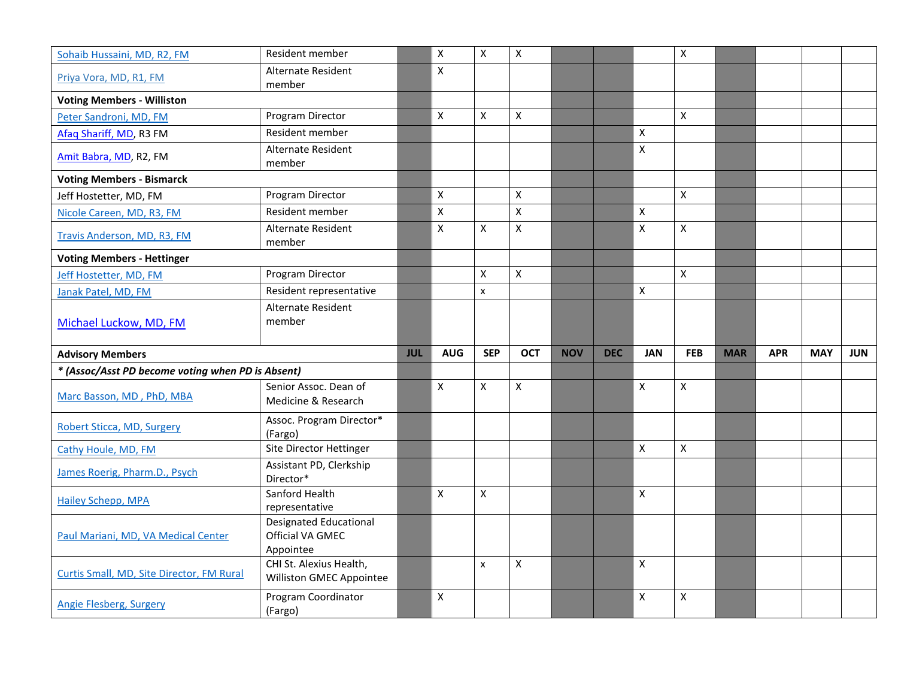| Sohaib Hussaini, MD, R2, FM                       | Resident member                                                |            | $\pmb{\times}$            | X          | $\pmb{\times}$     |            |            |                           | $\pmb{\times}$ |            |            |            |            |
|---------------------------------------------------|----------------------------------------------------------------|------------|---------------------------|------------|--------------------|------------|------------|---------------------------|----------------|------------|------------|------------|------------|
| Priya Vora, MD, R1, FM                            | Alternate Resident<br>member                                   |            | $\pmb{\times}$            |            |                    |            |            |                           |                |            |            |            |            |
| <b>Voting Members - Williston</b>                 |                                                                |            |                           |            |                    |            |            |                           |                |            |            |            |            |
| Peter Sandroni, MD, FM                            | Program Director                                               |            | X                         | X          | $\mathsf{x}$       |            |            |                           | $\mathsf{x}$   |            |            |            |            |
| Afaq Shariff, MD, R3 FM                           | Resident member                                                |            |                           |            |                    |            |            | $\boldsymbol{\mathsf{X}}$ |                |            |            |            |            |
| Amit Babra, MD, R2, FM                            | Alternate Resident<br>member                                   |            |                           |            |                    |            |            | $\mathsf{X}$              |                |            |            |            |            |
| <b>Voting Members - Bismarck</b>                  |                                                                |            |                           |            |                    |            |            |                           |                |            |            |            |            |
| Jeff Hostetter, MD, FM                            | Program Director                                               |            | $\pmb{\mathsf{X}}$        |            | $\pmb{\mathsf{X}}$ |            |            |                           | $\mathsf{x}$   |            |            |            |            |
| Nicole Careen, MD, R3, FM                         | Resident member                                                |            | $\pmb{\times}$            |            | $\mathsf{x}$       |            |            | $\pmb{\times}$            |                |            |            |            |            |
| Travis Anderson, MD, R3, FM                       | Alternate Resident<br>member                                   |            | $\mathsf{X}$              | Χ          | $\pmb{\mathsf{X}}$ |            |            | $\mathsf{X}$              | $\pmb{\times}$ |            |            |            |            |
| <b>Voting Members - Hettinger</b>                 |                                                                |            |                           |            |                    |            |            |                           |                |            |            |            |            |
| Jeff Hostetter, MD, FM                            | Program Director                                               |            |                           | X          | $\mathsf{x}$       |            |            |                           | $\mathsf{X}$   |            |            |            |            |
| Janak Patel, MD, FM                               | Resident representative                                        |            |                           | x          |                    |            |            | $\pmb{\mathsf{X}}$        |                |            |            |            |            |
| Michael Luckow, MD, FM                            | Alternate Resident<br>member                                   |            |                           |            |                    |            |            |                           |                |            |            |            |            |
|                                                   |                                                                |            |                           |            |                    |            |            |                           |                |            |            |            |            |
| <b>Advisory Members</b>                           |                                                                | <b>JUL</b> | <b>AUG</b>                | <b>SEP</b> | <b>OCT</b>         | <b>NOV</b> | <b>DEC</b> | <b>JAN</b>                | <b>FEB</b>     | <b>MAR</b> | <b>APR</b> | <b>MAY</b> | <b>JUN</b> |
| * (Assoc/Asst PD become voting when PD is Absent) |                                                                |            |                           |            |                    |            |            |                           |                |            |            |            |            |
| Marc Basson, MD, PhD, MBA                         | Senior Assoc. Dean of<br>Medicine & Research                   |            | $\mathsf X$               | X          | $\pmb{\times}$     |            |            | $\mathsf{X}$              | $\pmb{\times}$ |            |            |            |            |
| Robert Sticca, MD, Surgery                        | Assoc. Program Director*<br>(Fargo)                            |            |                           |            |                    |            |            |                           |                |            |            |            |            |
| Cathy Houle, MD, FM                               | Site Director Hettinger                                        |            |                           |            |                    |            |            | $\pmb{\times}$            | $\mathsf{X}$   |            |            |            |            |
| James Roerig, Pharm.D., Psych                     | Assistant PD, Clerkship<br>Director*                           |            |                           |            |                    |            |            |                           |                |            |            |            |            |
| <b>Hailey Schepp, MPA</b>                         | Sanford Health<br>representative                               |            | $\boldsymbol{\mathsf{X}}$ | X          |                    |            |            | $\boldsymbol{\mathsf{x}}$ |                |            |            |            |            |
| Paul Mariani, MD, VA Medical Center               | <b>Designated Educational</b><br>Official VA GMEC<br>Appointee |            |                           |            |                    |            |            |                           |                |            |            |            |            |
| Curtis Small, MD, Site Director, FM Rural         | CHI St. Alexius Health,<br>Williston GMEC Appointee            |            |                           | X          | X                  |            |            | $\pmb{\mathsf{X}}$        |                |            |            |            |            |